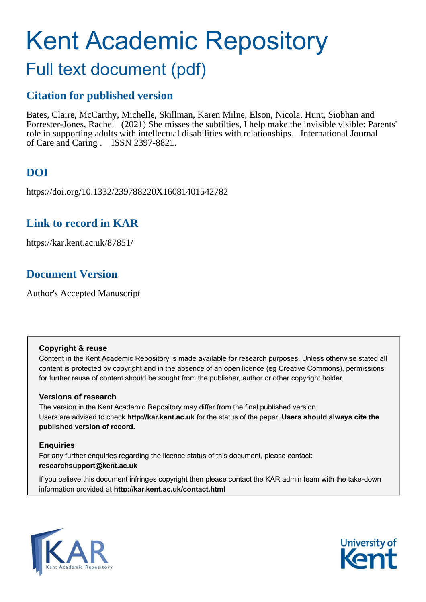# Kent Academic Repository

# Full text document (pdf)

# **Citation for published version**

Bates, Claire, McCarthy, Michelle, Skillman, Karen Milne, Elson, Nicola, Hunt, Siobhan and Forrester-Jones, Rachel (2021) She misses the subtilties, I help make the invisible visible: Parents' role in supporting adults with intellectual disabilities with relationships. International Journal of Care and Caring . ISSN 2397-8821.

# **DOI**

https://doi.org/10.1332/239788220X16081401542782

# **Link to record in KAR**

https://kar.kent.ac.uk/87851/

# **Document Version**

Author's Accepted Manuscript

#### **Copyright & reuse**

Content in the Kent Academic Repository is made available for research purposes. Unless otherwise stated all content is protected by copyright and in the absence of an open licence (eg Creative Commons), permissions for further reuse of content should be sought from the publisher, author or other copyright holder.

#### **Versions of research**

The version in the Kent Academic Repository may differ from the final published version. Users are advised to check **http://kar.kent.ac.uk** for the status of the paper. **Users should always cite the published version of record.**

#### **Enquiries**

For any further enquiries regarding the licence status of this document, please contact: **researchsupport@kent.ac.uk**

If you believe this document infringes copyright then please contact the KAR admin team with the take-down information provided at **http://kar.kent.ac.uk/contact.html**



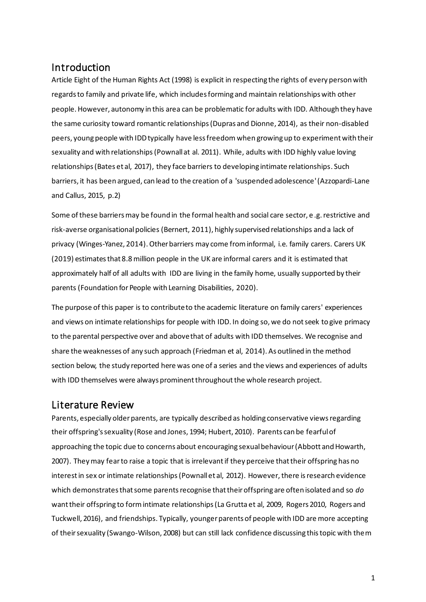# Introduction

Article Eight of the Human Rights Act (1998) is explicit in respecting the rights of every person with regards to family and private life, which includes forming and maintain relationships with other people. However, autonomy in this area can be problematic for adults with IDD. Although they have the same curiosity toward romantic relationships (Dupras and Dionne, 2014), as their non-disabled peers, young people with IDDtypically have less freedom when growing up to experiment with their sexuality and with relationships(Pownall at al. 2011). While, adults with IDD highly value loving relationships(Bates et al, 2017), they face barriers to developing intimate relationships. Such barriers, it has been argued, can lead to the creation of a 'suspended adolescence'(Azzopardi-Lane and Callus, 2015, p.2)

Some of these barriers may be found in the formal health and social care sector, e.g. restrictive and risk-averse organisational policies (Bernert, 2011), highly supervised relationships and a lack of privacy (Winges-Yanez, 2014). Other barriers may come from informal, i.e. family carers. Carers UK (2019) estimates that 8.8 million people in the UK are informal carers and it is estimated that approximately half of all adults with IDD are living in the family home, usually supported by their parents (Foundation for People with Learning Disabilities, 2020).

The purpose of this paper is to contribute to the academic literature on family carers' experiences and views on intimate relationships for people with IDD. In doing so, we do not seek to give primacy to the parental perspective over and above that of adults with IDD themselves. We recognise and share the weaknesses of any such approach (Friedman et al, 2014). As outlined in the method section below, the study reported here was one of a series and the views and experiences of adults with IDD themselves were always prominent throughout the whole research project.

# Literature Review

Parents, especially older parents, are typically described as holding conservative views regarding their offspring'ssexuality (Rose and Jones, 1994; Hubert, 2010). Parents can be fearful of approaching the topic due to concerns about encouraging sexual behaviour (Abbott and Howarth, 2007). They may fear to raise a topic that is irrelevantif they perceive that their offspring has no interest in sex or intimate relationships(Pownall et al, 2012). However, there is research evidence which demonstrates that some parents recognise that their offspring are often isolated and so do want their offspring to form intimate relationships (La Grutta et al, 2009, Rogers 2010, Rogers and Tuckwell, 2016), and friendships. Typically, younger parents of people with IDD are more accepting of their sexuality (Swango-Wilson, 2008) but can still lack confidence discussing this topic with them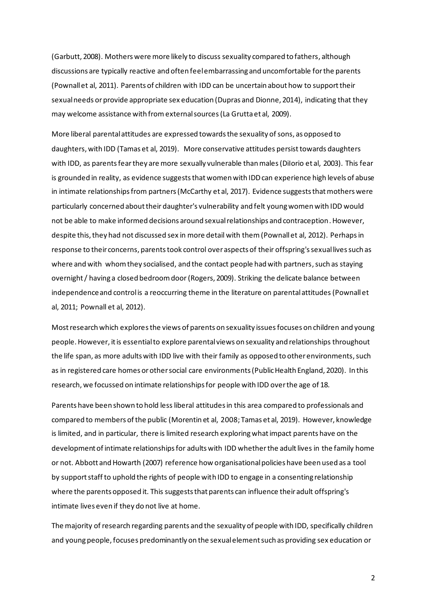(Garbutt, 2008). Mothers were more likely to discuss sexuality compared to fathers, although discussions are typically reactive and often feel embarrassing and uncomfortable for the parents (Pownall et al, 2011). Parents of children with IDD can be uncertain about how to support their sexual needs or provide appropriate sex education (Dupras and Dionne, 2014), indicating that they may welcome assistance with from external sources(La Grutta et al, 2009).

More liberal parental attitudes are expressed towards the sexuality of sons, as opposed to daughters, with IDD (Tamas et al, 2019). More conservative attitudes persist towards daughters with IDD, as parents fear they are more sexually vulnerable than males (DiIorio et al, 2003). This fear is grounded in reality, as evidence suggests that women with IDDcan experience high levels of abuse in intimate relationships from partners (McCarthy et al, 2017). Evidence suggests that mothers were particularly concerned about their daughter's vulnerability and felt young women with IDD would not be able to make informed decisions around sexual relationships and contraception. However, despite this, they had not discussed sex in more detail with them(Pownall et al, 2012). Perhaps in response to their concerns, parents took control over aspects of their offspring's sexual lives such as where and with whom they socialised, and the contact people had with partners, such as staying overnight / having a closed bedroom door (Rogers, 2009). Striking the delicate balance between independence and control is a reoccurring theme in the literature on parental attitudes (Pownall et al, 2011; Pownall et al, 2012).

Mostresearch which exploresthe views of parents on sexuality issues focuses on children and young people. However, it is essentialto explore parental views on sexuality and relationships throughout the life span, as more adults with IDD live with their family as opposed to other environments, such as in registered care homes or other social care environments(Public Health England, 2020). In this research, we focussed on intimate relationships for people with IDD over the age of 18.

Parents have been shown to hold less liberal attitudes in this area compared to professionals and compared to members of the public (Morentin et al, 2008; Tamas et al, 2019). However, knowledge is limited, and in particular, there is limited research exploringwhat impact parents have on the development of intimate relationships for adults with IDD whether the adult lives in the family home or not. Abbott and Howarth (2007) reference how organisational policies have been used as a tool by support staff to uphold the rights of people with IDD to engage in a consenting relationship where the parents opposed it. This suggests that parents can influence their adult offspring's intimate lives even if they do not live at home.

The majority of research regarding parents and the sexuality of people with IDD, specifically children and young people, focuses predominantly on the sexual element such as providing sex education or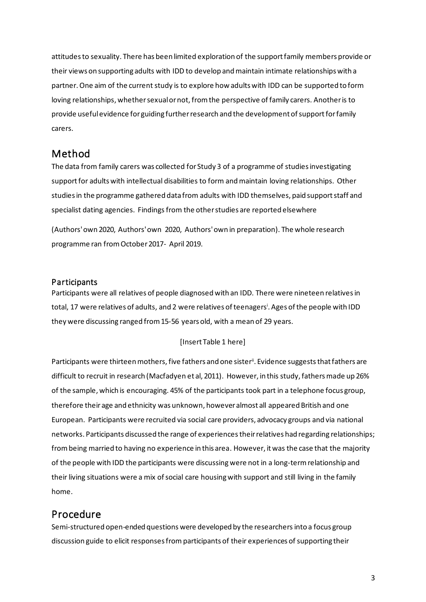attitudes to sexuality. There has been limited exploration of the support family members provide or their views on supporting adults with IDD to develop and maintain intimate relationships with a partner. One aim of the current study is to explore how adults with IDD can be supported to form loving relationships, whether sexual or not, from the perspective of family carers. Another is to provide useful evidence for guiding further research and the development of support for family carers.

# Method

The data from family carers was collected for Study 3 of a programme of studies investigating support for adults with intellectual disabilities to form and maintain loving relationships. Other studies in the programme gathered data from adults with IDD themselves, paid support staff and specialist dating agencies. Findings from the other studies are reported elsewhere

(Authors'own 2020, Authors'own 2020, Authors'own in preparation). The whole research programme ran from October 2017- April 2019.

#### Participants

Participants were all relatives of people diagnosed with an IDD. There were nineteen relativesin total, 17 were relatives of adults, and 2 were relatives of teenagers<sup>i</sup>. Ages of the people with IDD they were discussing ranged from 15-56 years old, with a mean of 29 years.

#### [Insert Table 1 here]

Participants were thirteen mothers, five fathers and one sister". Evidence suggests that fathers are difficult to recruit in research (Macfadyen et al, 2011). However, in this study, fathers made up 26% of the sample, which is encouraging. 45% of the participants took part in a telephone focus group, therefore theirage and ethnicity was unknown, however almost all appeared British and one European. Participants were recruited via social care providers, advocacy groups and via national networks. Participants discussed the range of experiencestheir relatives had regarding relationships; from being married to having no experience in this area. However, it was the case that the majority of the people with IDD the participants were discussing were not in a long-termrelationship and their living situations were a mix of social care housing with support and still living in the family home.

# Procedure

Semi-structured open-ended questions were developed by the researchers into a focus group discussion guide to elicit responses from participants of their experiences of supporting their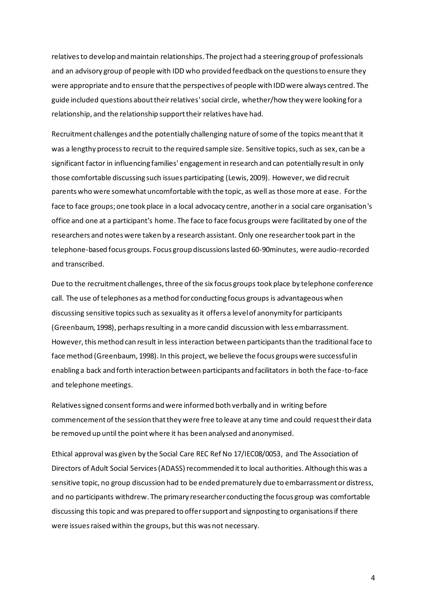relatives to develop and maintain relationships. The project had a steering group of professionals and an advisory group of people with IDD who provided feedback on the questions to ensure they were appropriate and to ensure that the perspectives of people with IDD were always centred. The guide included questions about their relatives'social circle, whether/how they were looking for a relationship, and the relationship support their relatives have had.

Recruitment challenges and the potentially challenging nature of some of the topics meant that it was a lengthy process to recruit to the required sample size. Sensitive topics, such as sex, can be a significant factor in influencing families' engagement in research and can potentially result in only those comfortable discussing such issues participating (Lewis, 2009). However, we did recruit parents who were somewhat uncomfortable with the topic, as well as those more at ease. For the face to face groups; one took place in a local advocacy centre, another in a social care organisation's office and one at a participant's home. The face to face focus groups were facilitated by one of the researchers and notes were taken by a research assistant. Only one researcher took part in the telephone-based focus groups. Focus group discussions lasted 60-90minutes, were audio-recorded and transcribed.

Due to the recruitment challenges, three of the six focus groups took place by telephone conference call. The use of telephones as a method for conducting focus groups is advantageous when discussing sensitive topics such as sexuality as it offers a level of anonymity for participants (Greenbaum, 1998), perhaps resulting in a more candid discussion with less embarrassment. However, this method can result in less interaction between participants than the traditional face to face method (Greenbaum, 1998). In this project, we believe the focus groups were successful in enabling a back and forth interaction between participants and facilitators in both the face-to-face and telephone meetings.

Relatives signed consent forms and were informed both verbally and in writing before commencement of the session that they were free to leave at any time and could request their data be removed up until the point where it has been analysed and anonymised.

Ethical approval was given by the Social Care REC Ref No 17/IEC08/0053, and The Association of Directors of Adult Social Services (ADASS) recommended it to local authorities. Although this was a sensitive topic, no group discussion had to be ended prematurely due to embarrassment or distress, and no participants withdrew. The primary researcher conducting the focus group was comfortable discussing this topic and was prepared to offer support and signposting to organisations if there were issues raised within the groups, but this was not necessary.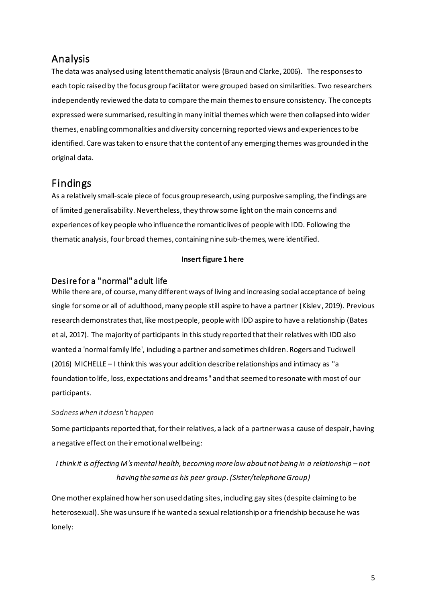# Analysis

The data was analysed using latent thematic analysis (Braun and Clarke, 2006). The responses to each topic raised by the focus group facilitator were grouped based on similarities. Two researchers independently reviewed the data to compare the main themes to ensure consistency. The concepts expressed were summarised, resulting in many initial themes which were then collapsed into wider themes, enabling commonalities and diversity concerning reported views and experiences to be identified. Care was taken to ensure that the content of any emerging themes was grounded in the original data.

# Findings

As a relatively small-scale piece of focus group research, using purposive sampling, the findings are of limited generalisability. Nevertheless,they throw some light on the main concerns and experiences of key people who influence the romantic lives of people with IDD. Following the thematic analysis, fourbroad themes, containing nine sub-themes, were identified.

#### **Insert figure 1 here**

## Desire for a "normal" adult life

While there are, of course, many different ways of living and increasing social acceptance of being single for some or all of adulthood, many people still aspire to have a partner (Kislev, 2019). Previous research demonstrates that, like most people, people with IDD aspire to have a relationship (Bates et al, 2017). The majority of participants in this study reported that their relatives with IDD also wanted a 'normal family life', including a partner and sometimes children. Rogers and Tuckwell (2016) MICHELLE – I think this was your addition describe relationships and intimacy as "a foundation to life, loss, expectations and dreams" and that seemed to resonate with most of our participants.

#### *Sadness when it doesn't happen*

Some participants reported that, for their relatives, a lack of a partner was a cause of despair, having a negative effect on their emotional wellbeing:

# *I think it is affecting M's mental health, becoming more low about not being in a relationship – not having the same as his peer group.(Sister/telephone Group)*

One mother explained how her son used dating sites, including gay sites (despite claiming to be heterosexual). She was unsure if he wanted a sexual relationship or a friendship because he was lonely: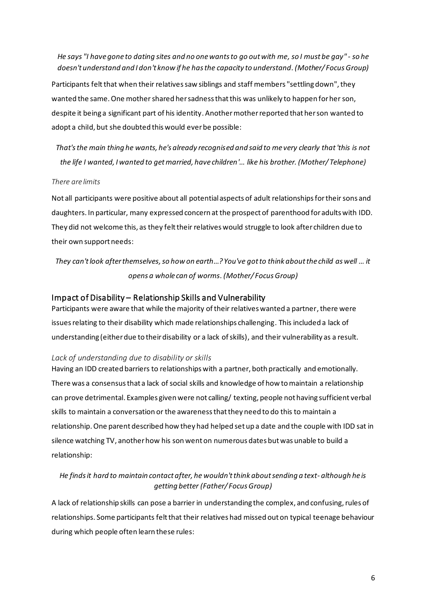*He says "I have gone to dating sites and no one wants to go out with me, so I must be gay" - so he doesn't understand and I don't know if he has the capacity to understand.(Mother/ Focus Group)*

Participants felt that when their relatives saw siblings and staff members "settling down", they wanted the same. One mother shared her sadness that this was unlikely to happen for her son, despite it being a significant part of his identity. Another mother reported that her son wanted to adopt a child, but she doubted this would ever be possible:

*That's the main thing he wants, he's already recognised and said to me very clearly that 'this is not the life I wanted, I wanted to get married, have children'… like his brother. (Mother/ Telephone)*

#### *There are limits*

Not all participants were positive about all potential aspects of adult relationships for their sons and daughters. In particular, many expressed concern at the prospect of parenthood for adults with IDD. They did not welcome this, as they felt their relatives would struggle to look after children due to their own support needs:

*They can't look after themselves,so how on earth…? You've got to think about the child as well … it opens a whole can of worms.(Mother/ Focus Group)*

#### Impact of Disability – Relationship Skills and Vulnerability

Participants were aware that while the majority of their relatives wanted a partner, there were issues relating to their disability which made relationships challenging. This included a lack of understanding (either due to their disability or a lack of skills), and their vulnerability as a result.

#### *Lack of understanding due to disability or skills*

Having an IDD created barriers to relationships with a partner, both practically and emotionally. There was a consensus that a lack of social skills and knowledge of how to maintain a relationship can prove detrimental. Examples given were not calling/ texting, people not having sufficient verbal skills to maintain a conversation or the awareness that they need to do this to maintain a relationship.One parent described how they had helped set up a date and the couple with IDD sat in silence watching TV, another how his son went on numerous dates but was unable to build a relationship:

#### *He finds it hard to maintain contact after, he wouldn'tthink about sending a text- although he is getting better (Father/ Focus Group)*

A lack of relationship skills can pose a barrier in understanding the complex, and confusing,rules of relationships. Some participants felt that their relatives had missed out on typical teenage behaviour during which people often learn these rules: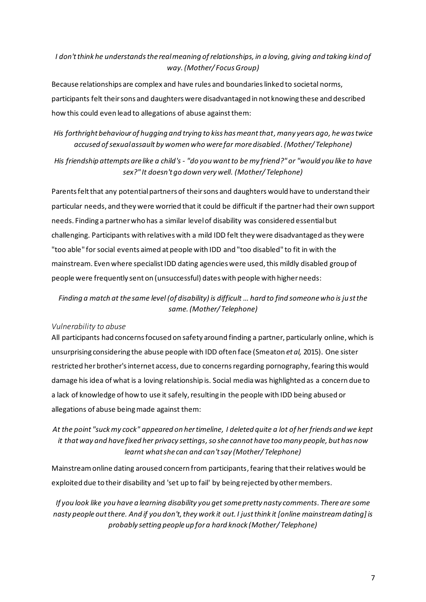#### *I don't think he understands the real meaning of relationships, in a loving, giving and taking kind of way.(Mother/ Focus Group)*

Because relationships are complex and have rules and boundaries linked to societal norms, participants felt their sons and daughters were disadvantaged in not knowing these and described how this could even lead to allegations of abuse against them:

#### *His forthright behaviour of hugging and trying to kiss has meant that,many years ago, he was twice accused of sexual assault by women who were far more disabled.(Mother/ Telephone)*

*His friendship attempts are like a child's - "do you want to be my friend?" or "would you like to have sex?" It doesn't go down very well. (Mother/ Telephone)*

Parents felt that any potential partners of their sons and daughters would have to understand their particular needs, and they were worried that it could be difficult if the partner had their own support needs. Finding a partner who has a similar level of disability was considered essentialbut challenging. Participants with relatives with a mild IDD felt they were disadvantaged as they were "too able" for social events aimed at people with IDD and "too disabled" to fit in with the mainstream. Even where specialist IDD dating agencies were used, this mildly disabled group of people were frequently sent on (unsuccessful) dates with people with higher needs:

#### *Finding a match at the same level (of disability) is difficult … hard to find someone who is just the same.(Mother/ Telephone)*

#### *Vulnerability to abuse*

All participants had concerns focused on safety around finding a partner, particularly online, which is unsurprising considering the abuse people with IDD often face (Smeaton *et al,* 2015). One sister restricted her brother's internet access, due to concernsregarding pornography, fearing this would damage his idea of what is a loving relationship is. Social media was highlighted as a concern due to a lack of knowledge of how to use it safely, resulting in the people with IDD being abused or allegations of abuse being made against them:

## *At the point "suck my cock" appeared on her timeline, I deleted quite a lot of her friends and we kept it that way and have fixed her privacy settings,so she cannot have too many people, but has now learnt what she can and can't say (Mother/ Telephone)*

Mainstream online dating aroused concern from participants, fearing that their relatives would be exploited due to their disability and 'set up to fail' by being rejected by other members.

*If you look like you have a learning disability you get some pretty nasty comments. There are some nasty people out there. And if you don't, they work it out. I just think it [online mainstream dating] is probably setting people up for a hard knock (Mother/ Telephone)*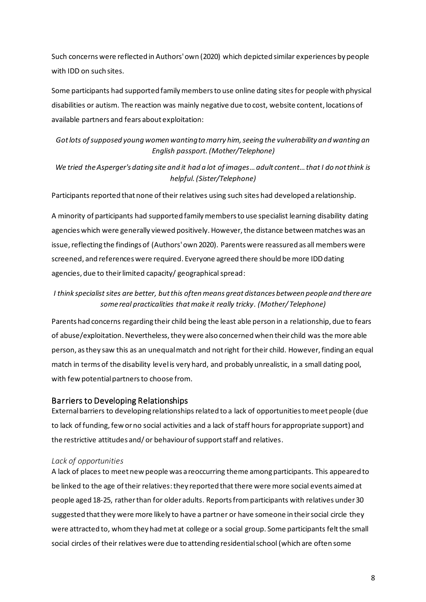Such concerns were reflected in Authors'own (2020) which depicted similar experiences by people with IDD on such sites.

Some participants had supported family members to use online dating sites for people with physical disabilities or autism. The reaction was mainly negative due to cost, website content, locations of available partners and fears about exploitation:

## *Got lots of supposed young women wanting to marry him, seeing the vulnerability and wanting an English passport.(Mother/Telephone)*

#### *We tried the Asperger's dating site and it had a lot of images… adult content…that I do not think is helpful.(Sister/Telephone)*

Participants reported that none of their relatives using such sites had developed a relationship.

A minority of participants had supported family members to use specialist learning disability dating agencies which were generally viewed positively. However, the distance between matches was an issue, reflecting the findings of (Authors'own 2020). Parents were reassured as all members were screened, and referenceswere required. Everyone agreed there should be more IDDdating agencies, due to their limited capacity/ geographical spread:

#### *I think specialist sites are better, but this often means great distances between people and there are some real practicalities that make it really tricky. (Mother/ Telephone)*

Parents had concerns regarding their child being the least able person in a relationship, due to fears of abuse/exploitation. Nevertheless, they were also concerned when their child was the more able person, as they saw this as an unequal match and not right for their child. However, finding an equal match in terms of the disability level is very hard, and probably unrealistic, in a small dating pool, with few potential partners to choose from.

#### Barriers to Developing Relationships

External barriers to developing relationships related to a lack of opportunities to meet people (due to lack of funding, few or no social activities and a lack of staff hours for appropriate support) and the restrictive attitudes and/ or behaviour of support staff and relatives.

#### *Lack of opportunities*

A lack of places to meet new people was a reoccurring theme among participants. This appeared to be linked to the age of their relatives:they reported that there were more social events aimed at people aged 18-25, rather than for older adults. Reports from participants with relatives under 30 suggested that they were more likely to have a partner or have someone in their social circle they were attracted to, whomthey had met at college or a social group. Some participants felt the small social circles of their relatives were due to attending residential school (which are often some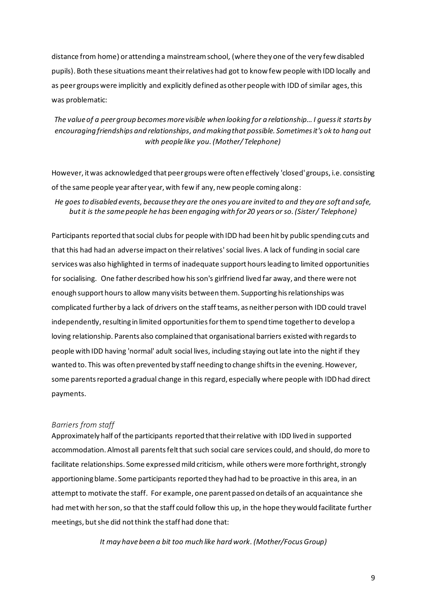distance from home) or attending a mainstream school, (where they one of the very few disabled pupils). Both these situations meant their relatives had got to know few people with IDD locally and as peer groups were implicitly and explicitly defined as other people with IDD of similar ages, this was problematic:

*The value of a peer group becomes more visible when looking for a relationship…I guess it starts by encouraging friendships and relationships, and making that possible. Sometimes it's ok to hang out with people like you.(Mother/ Telephone)*

However, it was acknowledged that peer groups were often effectively 'closed'groups, i.e. consisting of the same people year after year, with few if any, new people coming along:

*He goes to disabled events, because they are the ones you are invited to and they are soft and safe, but it is the same people he has been engaging with for 20 years or so. (Sister/ Telephone)*

Participants reported that social clubs for people with IDD had been hit by public spending cuts and that this had had an adverse impact on their relatives'social lives. A lack of funding in social care services was also highlighted in terms of inadequate support hoursleading to limited opportunities for socialising. One father described how his son's girlfriend lived far away, and there were not enough support hours to allow many visits between them. Supporting his relationships was complicated further by a lack of drivers on the staff teams, as neither person with IDD could travel independently, resulting in limited opportunitiesfor them to spend time togetherto develop a loving relationship. Parents also complained that organisational barriers existed with regards to people with IDD having 'normal' adult social lives, including staying out late into the night if they wanted to. This was often prevented by staff needing to change shifts in the evening. However, some parents reported a gradual change in this regard, especially where people with IDDhad direct payments.

#### *Barriers from staff*

Approximately half of the participants reported that their relative with IDD lived in supported accommodation. Almost all parents felt that such social care services could, and should, do more to facilitate relationships. Some expressed mild criticism, while others were more forthright, strongly apportioning blame. Some participants reported they had had to be proactive in this area, in an attempt to motivate the staff. For example, one parent passed on details of an acquaintance she had met with her son, so that the staff could follow this up, in the hope they would facilitate further meetings, but she did not think the staff had done that:

*It may have been a bit too much like hard work.(Mother/Focus Group)*

9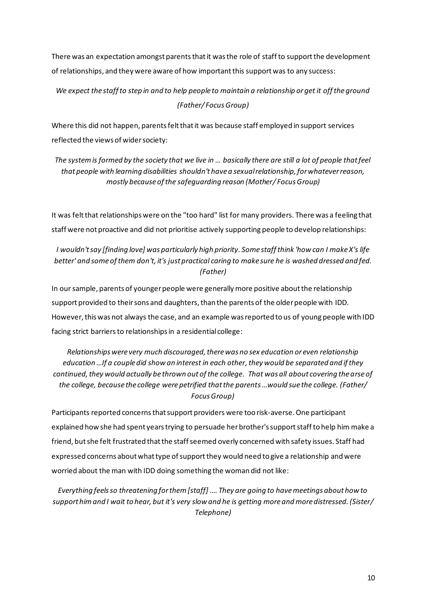There was an expectation amongst parents that it was the role of staffto support the development of relationships, and they were aware of how important this support was to any success:

## *We expect the staff to step in and to help people to maintain a relationship or get it off the ground (Father/ Focus Group)*

Where this did not happen, parents felt that it was because staff employed in support services reflected the views of wider society:

### *The system is formed by the society that we live in … basically there are still a lot of people that feel that people with learning disabilities shouldn't have a sexual relationship, for whatever reason, mostly because of the safeguarding reason (Mother/ Focus Group)*

It was felt that relationshipswere on the "too hard" list for many providers. There was a feeling that staff were not proactive and did not prioritise actively supporting people to develop relationships:

#### *I wouldn't say [finding love] was particularly high priority. Some staff think 'how can I make X's life better' and some of them don't, it's just practical caring to make sure he is washed dressed and fed. (Father)*

In our sample, parents of younger people were generally more positive about the relationship support provided to their sons and daughters, than the parents of the older people with IDD. However, this was not always the case, and an example was reported to us of young people with IDD facing strict barriers to relationships in a residential college:

*Relationships were very much discouraged, there was no sex education or even relationship education* …If a couple did show an interest in each other, they would be separated and if they *continued, they would actually be thrown out of the college. That was all about covering the arse of the college, because the college were petrified that the parents…would sue the college. (Father/ Focus Group)*

Participants reported concerns thatsupport providers were too risk-averse.One participant explained how she had spent years trying to persuade her brother's support staff to help him make a friend, but she felt frustrated that the staff seemed overly concerned with safety issues. Staff had expressed concerns about what type of support they would need to give a relationship and were worried about the man with IDD doing something the woman did not like:

*Everything feels so threatening for them [staff] …. They are going to have meetings about how to support him and I wait to hear, but it's very slow and he is getting more and more distressed. (Sister/ Telephone)*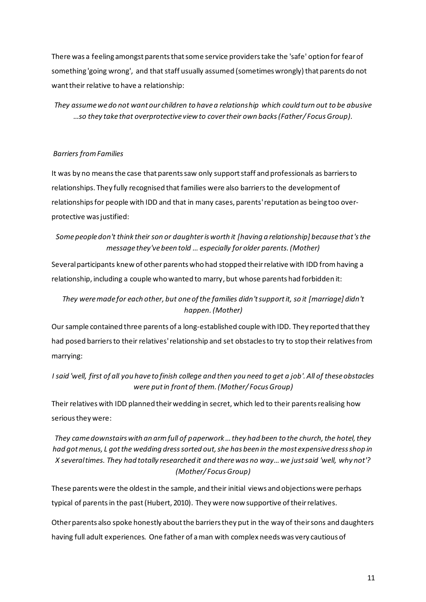There was a feeling amongst parents that some service providers take the 'safe' option for fear of something 'going wrong', and that staff usually assumed (sometimes wrongly) that parents do not want their relative to have a relationship:

*They assume we do not want our children to have a relationship which could turn out to be abusive …so they take that overprotective view to cover their own backs (Father/ Focus Group).*

#### *Barriers from Families*

It was by no means the case that parents saw only support staff and professionals as barriers to relationships. They fully recognised that families were also barriers to the development of relationships for people with IDD and that in many cases, parents'reputation as being too overprotective was justified:

### *Some people don't think their son or daughter is worth it [having a relationship] because that's the message they've been told … especially for older parents.(Mother)*

Several participants knew of other parents who had stopped their relative with IDD from having a relationship, including a couple who wanted to marry, but whose parents had forbidden it:

## *They were made for each other, but one of the families didn't support it, so it [marriage] didn't happen.(Mother)*

Our sample contained three parents of a long-established couple with IDD. They reported that they had posed barriers to their relatives'relationship and set obstacles to try to stop their relatives from marrying:

### *I said 'well, first of all you have to finish college and then you need to get a job'. All of these obstacles were put in front of them. (Mother/ Focus Group)*

Their relatives with IDD planned their wedding in secret, which led to their parents realising how seriousthey were:

## *They came downstairs with an arm full of paperwork … they had been to the church, the hotel, they had got menus, L got the wedding dress sorted out, she has been in the most expensive dress shop in X several times. They had totally researched it and there was no way… we just said 'well, why not'? (Mother/ Focus Group)*

These parents were the oldest in the sample, and their initial views and objections were perhaps typical of parents in the past(Hubert, 2010). They were now supportive of their relatives.

Other parents also spoke honestly about the barriers they put in the way of their sons and daughters having full adult experiences. One father of a man with complex needs was very cautious of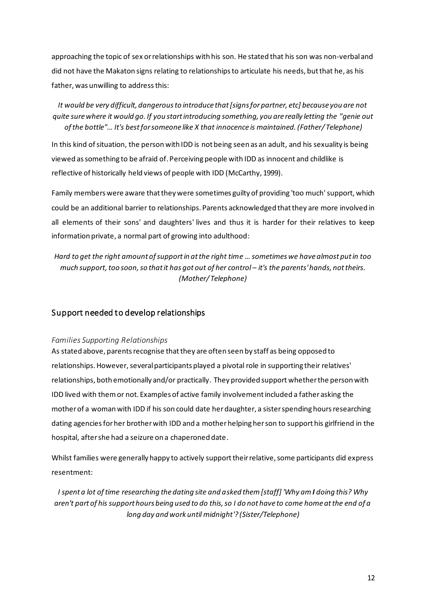approaching the topic of sex or relationships with his son. He stated that his son was non-verbal and did not have the Makaton signs relating to relationships to articulate his needs, but that he, as his father, was unwilling to addressthis:

*It would be very difficult, dangerous to introduce that [signs for partner, etc] because you are not quite sure where it would go. If you start introducing something, you are really letting the "genie out of the bottle"… It's best for someone like X that innocence is maintained. (Father/ Telephone)*

In this kind of situation, the person with IDD is not being seen as an adult, and his sexuality is being viewed as something to be afraid of. Perceiving people with IDD as innocent and childlike is reflective of historically held views of people with IDD (McCarthy, 1999).

Family members were aware that they were sometimes guilty of providing 'too much'support, which could be an additional barrier to relationships. Parents acknowledged that they are more involved in all elements of their sons' and daughters' lives and thus it is harder for their relatives to keep information private, a normal part of growing into adulthood:

*Hard to get the right amount of support in at the right time … sometimes we have almost put in too much support, too soon, so that it has got out of her control – it's the parents' hands, not theirs. (Mother/ Telephone)*

#### Support needed to develop relationships

#### *Families Supporting Relationships*

As stated above, parents recognise that they are often seen by staff as being opposed to relationships. However, several participants played a pivotal role in supporting their relatives' relationships, both emotionally and/or practically. They provided support whether the person with IDD lived with them or not. Examples of active family involvement included a father asking the mother of a woman with IDD if his son could date herdaughter, a sister spending hours researching dating agenciesfor her brother with IDD and a mother helping her son to support his girlfriend in the hospital, after she had a seizure on a chaperoned date.

Whilst families were generally happy to actively support their relative, some participants did express resentment:

*I spent a lot of time researching the dating site and asked them [staff] 'Why am I doing this? Why aren't part of his support hours being used to do this, so I do not have to come home at the end of a long day and work until midnight'? (Sister/Telephone)*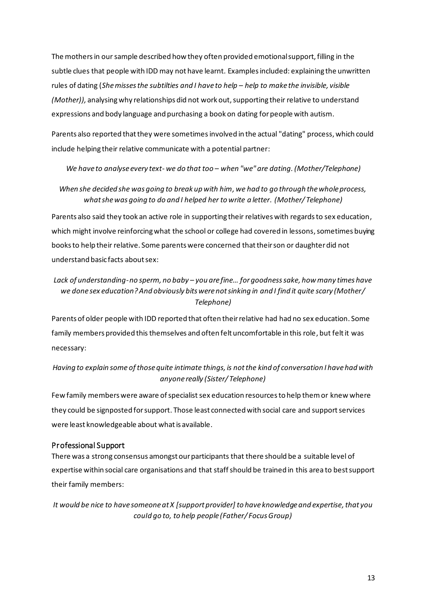The mothers in our sample described how they often provided emotional support, filling in the subtle clues that people with IDD may not have learnt. Examples included: explaining the unwritten rules of dating (*She misses the subtilties and I have to help – help to make the invisible, visible (Mother)),* analysing why relationships did not work out, supporting their relative to understand expressions and body language and purchasing a book on dating for people with autism.

Parents also reported that they were sometimes involved in the actual "dating" process, which could include helping their relative communicate with a potential partner:

*We have to analyse every text- we do that too – when "we" are dating.(Mother/Telephone)*

*When she decided she was going to break up with him, we had to go through the whole process, what she was going to do and I helped her to write a letter. (Mother/ Telephone)*

Parents also said they took an active role in supporting their relatives with regards to sex education, which might involve reinforcing what the school or college had covered in lessons, sometimes buying books to help their relative. Some parents were concerned that their son or daughter did not understand basic facts about sex:

#### *Lack of understanding-no sperm, no baby – you are fine… for goodness sake, how many times have we done sex education? And obviously bits were not sinking in and I find it quite scary (Mother/ Telephone)*

Parents of older people with IDD reported that often their relative had had no sex education. Some family members provided this themselves and often felt uncomfortable in this role, but felt it was necessary:

## *Having to explain some of those quite intimate things, is not the kind of conversation I have had with anyone really (Sister/ Telephone)*

Few family members were aware of specialist sex education resources to help them or knew where they could be signposted for support. Those least connected with social care and support services were least knowledgeable about what is available.

#### Professional Support

There was a strong consensus amongst our participants that there should be a suitable level of expertise within social care organisations and that staff should be trained in this area to best support their family members:

*It would be nice to have someone at X [support provider] to have knowledge and expertise, that you couId go to, to help people (Father/ Focus Group)*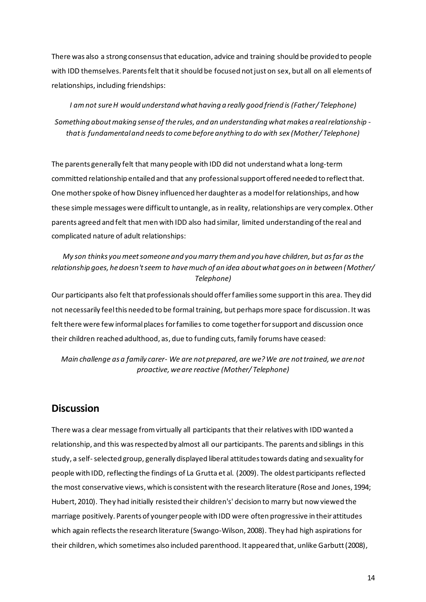There was also a strong consensus that education, advice and training should be provided to people with IDD themselves. Parents felt that it should be focused not just on sex, but all on all elements of relationships, including friendships:

*I am not sure H would understand what having a really good friend is (Father/ Telephone) Something about making sense of the rules, and an understanding what makes a real relationship that is fundamental and needs to come before anything to do with sex (Mother/ Telephone)*

The parents generally felt that many people with IDD did not understand what a long-term committed relationship entailed and that any professional support offered needed to reflect that. One mother spoke of how Disney influenced her daughter as a model for relationships, and how these simple messages were difficult to untangle, as in reality, relationships are very complex.Other parents agreed and felt that men with IDD also had similar, limited understanding of the real and complicated nature of adult relationships:

#### *My son thinks you meet someone and you marry them and you have children, but as far as the relationship goes, he doesn't seem to have much of an idea about what goes on in between (Mother/ Telephone)*

Our participants also felt that professionals should offer families some support in this area. They did not necessarily feel this needed to be formal training, but perhaps more space for discussion. It was felt there were few informal places for families to come together for support and discussion once their children reached adulthood, as, due to funding cuts, family forums have ceased:

*Main challenge as a family carer- We are not prepared, are we? We are not trained, we are not proactive, we are reactive (Mother/ Telephone)*

## **Discussion**

There was a clear message from virtually all participants that their relatives with IDD wanted a relationship, and this was respected by almost all our participants. The parents and siblings in this study, a self-selected group, generally displayed liberal attitudes towards dating and sexuality for people with IDD, reflecting the findings of La Grutta et al. (2009). The oldest participants reflected the most conservative views, which is consistent with the research literature (Rose and Jones, 1994; Hubert, 2010). They had initially resisted their children's' decision to marry but now viewed the marriage positively. Parents of younger people with IDD were often progressive in their attitudes which again reflects the research literature (Swango-Wilson, 2008). They had high aspirations for their children, which sometimes also included parenthood. It appeared that, unlike Garbutt (2008),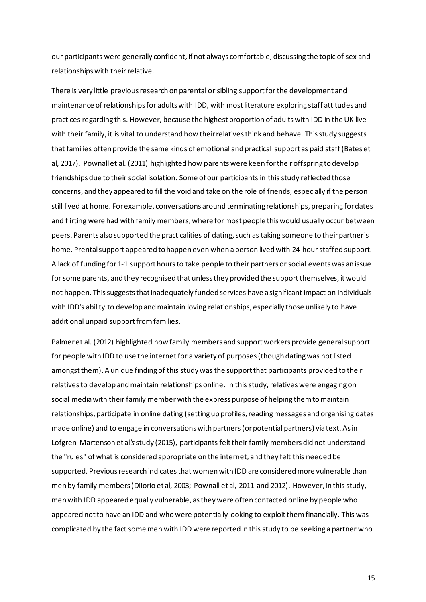our participants were generally confident, if not always comfortable, discussing the topic of sex and relationships with their relative.

There is very little previous research on parental orsibling support for the development and maintenance of relationships for adults with IDD, with most literature exploring staff attitudes and practices regarding this. However, because the highest proportion of adults with IDD in the UK live with their family, it is vital to understand how their relatives think and behave. This study suggests that families often provide the same kinds of emotional and practical support as paid staff (Bates et al, 2017). Pownall et al. (2011) highlighted how parents were keen for their offspring to develop friendships due to their social isolation. Some of our participants in this study reflected those concerns, and they appeared to fill the void and take on the role of friends, especially if the person still lived at home. For example, conversations around terminating relationships, preparing for dates and flirting were had with family members, where for most people this would usually occur between peers. Parents also supported the practicalities of dating, such as taking someone to their partner's home. Prental support appeared to happen even when a person lived with 24-hourstaffed support. A lack of funding for 1-1 support hoursto take people to their partners or social events was an issue for some parents, and they recognised that unless they provided the support themselves, it would not happen. This suggests that inadequately funded services have a significant impact on individuals with IDD's ability to develop and maintain loving relationships, especially those unlikely to have additional unpaid support from families.

Palmer et al. (2012) highlighted how family members and support workers provide general support for people with IDD to use the internetfor a variety of purposes (though dating was not listed amongst them). A unique finding of this study was the support that participants provided to their relatives to develop and maintain relationships online. In this study, relatives were engaging on social media with their family member with the express purpose of helping them to maintain relationships, participate in online dating (setting up profiles, reading messages and organising dates made online) and to engage in conversations with partners (or potential partners) via text. As in Lofgren-Martenson et al*'s*study (2015), participants felt their family members did not understand the "rules" of what is considered appropriate on the internet, and they felt this needed be supported. Previous research indicates that women with IDD are considered more vulnerable than men by family members (DiIorio et al, 2003; Pownall et al, 2011 and 2012). However, in this study, men with IDD appeared equally vulnerable, as they were often contacted online by people who appeared not to have an IDD and who were potentially looking to exploit them financially. This was complicated by the fact some men with IDD were reported in this study to be seeking a partner who

15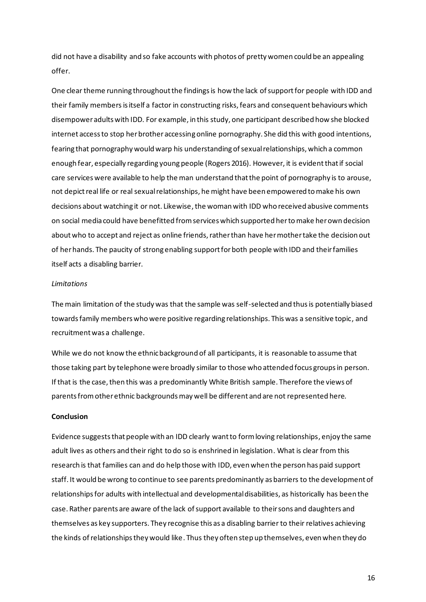did not have a disability and so fake accounts with photos of pretty women could be an appealing offer.

One clear theme running throughout the findings is how the lack of support for people with IDD and their family members is itself a factor in constructing risks, fears and consequent behaviours which disempower adults with IDD. For example, in this study, one participant described how she blocked internet access to stop her brother accessing online pornography. She did this with good intentions, fearing that pornography would warp his understanding of sexual relationships, which a common enough fear, especially regarding young people (Rogers 2016). However, it is evidentthat if social care services were available to help the man understand that the point of pornography is to arouse, not depict real life or real sexual relationships, he might have been empowered to make his own decisions about watching it or not. Likewise, the woman with IDD who received abusive comments on social media could have benefitted from services which supported her to make her own decision about who to accept and reject as online friends, rather than have her mother take the decision out of her hands. The paucity of strong enabling support for both people with IDD and their families itself acts a disabling barrier.

#### *Limitations*

The main limitation of the study was that the sample was self-selected and thus is potentially biased towards family members who were positive regarding relationships. This was a sensitive topic, and recruitment was a challenge.

While we do not know the ethnic background of all participants, it is reasonable to assume that those taking part by telephone were broadly similar to those who attended focus groups in person. If that is the case, then this was a predominantly White British sample. Therefore the views of parents from other ethnic backgrounds may well be different and are not represented here.

#### **Conclusion**

Evidence suggeststhat people with an IDD clearly want to form loving relationships, enjoy the same adult lives as others and their right to do so is enshrined in legislation. What is clear from this research is that families can and do help those with IDD, even when the person has paid support staff. It would be wrong to continue to see parents predominantly as barriers to the development of relationships for adults with intellectual and developmental disabilities, as historically has been the case. Rather parents are aware of the lack of support available to their sons and daughters and themselves as key supporters. They recognise this as a disabling barrier to their relatives achieving the kinds of relationships they would like. Thus they often step up themselves, even when they do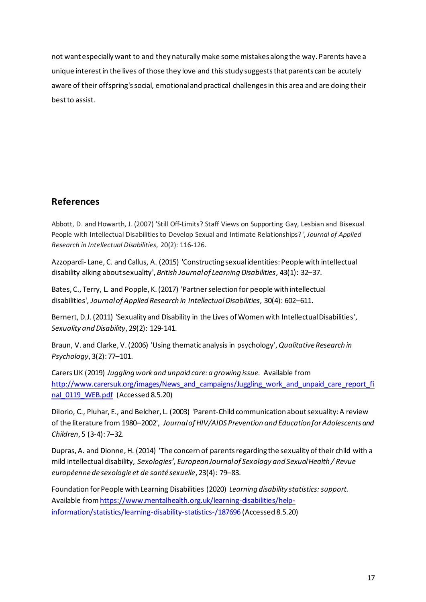not want especially want to and they naturally make some mistakes along the way. Parents have a unique interest in the lives of those they love and this study suggeststhat parents can be acutely aware of their offspring's social, emotional and practical challenges in this area and are doing their best to assist.

# **References**

Abbott, D. and Howarth, J. (2007) 'Still Off-Limits? Staff Views on Supporting Gay, Lesbian and Bisexual People with Intellectual Disabilities to Develop Sexual and Intimate Relationships?', *Journal of Applied Research in Intellectual Disabilities*, 20(2): 116-126.

Azzopardi- Lane, C. and Callus, A. (2015) 'Constructing sexual identities: People with intellectual disability alking about sexuality', *British Journal of Learning Disabilities*, 43(1): 32–37.

Bates, C., Terry, L. and Popple, K. (2017) 'Partner selection for people with intellectual disabilities', *Journal of Applied Research in IntellectualDisabilities*, 30(4): 602–611.

Bernert, D.J. (2011) 'Sexuality and Disability in the Lives of Women with Intellectual Disabilities', *Sexuality and Disability*, 29(2): 129-141.

Braun, V. and Clarke, V. (2006) 'Using thematic analysis in psychology',*Qualitative Research in Psychology*, 3(2): 77–101.

Carers UK (2019) *Juggling work and unpaid care: a growing issue.* Available from [http://www.carersuk.org/images/News\\_and\\_campaigns/Juggling\\_work\\_and\\_unpaid\\_care\\_report\\_fi](http://www.carersuk.org/images/News_and_campaigns/Juggling_work_and_unpaid_care_report_final_0119_WEB.pdf) [nal\\_0119\\_WEB.pdf](http://www.carersuk.org/images/News_and_campaigns/Juggling_work_and_unpaid_care_report_final_0119_WEB.pdf) (Accessed 8.5.20)

DiIorio, C., Pluhar, E., and Belcher, L. (2003) 'Parent-Child communication about sexuality: A review of the literature from 1980–2002', *Journal of HIV/AIDS Prevention and Education for Adolescents and Children*, 5 (3-4): 7–32.

Dupras, A. and Dionne, H. (2014) 'The concern of parents regarding the sexuality of their child with a mild intellectual disability, *Sexologies', European Journalof Sexology and Sexual Health / Revue européenne de sexologie et de santé sexuelle*, 23(4): 79–83.

Foundation for People with Learning Disabilities (2020) *Learning disability statistics: support.* Available fro[m https://www.mentalhealth.org.uk/learning-disabilities/help](https://www.mentalhealth.org.uk/learning-disabilities/help-information/statistics/learning-disability-statistics-/187696)[information/statistics/learning-disability-statistics-/187696](https://www.mentalhealth.org.uk/learning-disabilities/help-information/statistics/learning-disability-statistics-/187696) (Accessed 8.5.20)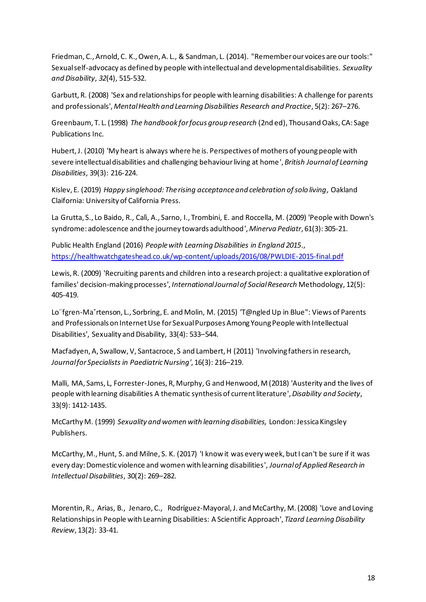Friedman, C., Arnold, C. K., Owen, A. L., & Sandman, L. (2014). "Remember our voices are our tools:" Sexual self-advocacy as defined by people with intellectual and developmental disabilities. *Sexuality and Disability*, *32*(4), 515-532.

Garbutt, R. (2008) 'Sex and relationships for people with learning disabilities: A challenge for parents and professionals', *Mental Health and Learning Disabilities Research and Practice*, 5(2): 267–276.

Greenbaum, T. L. (1998) *The handbook for focus group research* (2nd ed), Thousand Oaks, CA: Sage Publications Inc.

Hubert, J. (2010) 'My heart is always where he is. Perspectives of mothers of young people with severe intellectual disabilities and challenging behaviour living at home', *British Journal of Learning Disabilities*, 39(3): 216-224.

Kislev, E. (2019) *Happy singlehood: The rising acceptance and celebration of solo living,* Oakland Claifornia: University of California Press.

[La Grutta, S.](https://www.ncbi.nlm.nih.gov/pubmed/?term=La%20Grutta%20S%5BAuthor%5D&cauthor=true&cauthor_uid=19461574), [Lo Baido, R.](https://www.ncbi.nlm.nih.gov/pubmed/?term=Lo%20Baido%20R%5BAuthor%5D&cauthor=true&cauthor_uid=19461574), [Calì, A.](https://www.ncbi.nlm.nih.gov/pubmed/?term=Cal%C3%AC%20A%5BAuthor%5D&cauthor=true&cauthor_uid=19461574), [Sarno, I.](https://www.ncbi.nlm.nih.gov/pubmed/?term=Sarno%20I%5BAuthor%5D&cauthor=true&cauthor_uid=19461574), [Trombini, E.](https://www.ncbi.nlm.nih.gov/pubmed/?term=Trombini%20E%5BAuthor%5D&cauthor=true&cauthor_uid=19461574) and [Roccella, M.](https://www.ncbi.nlm.nih.gov/pubmed/?term=Roccella%20M%5BAuthor%5D&cauthor=true&cauthor_uid=19461574) (2009) 'People with Down's syndrome: adolescence and the journey towards adulthood', *[Minerva Pediatr](https://www.ncbi.nlm.nih.gov/pubmed/19461574)*, 61(3): 305-21.

Public Health England (2016) *People with Learning Disabilities in England 2015*., <https://healthwatchgateshead.co.uk/wp-content/uploads/2016/08/PWLDIE-2015-final.pdf>

Lewis, R. (2009) 'Recruiting parents and children into a research project: a qualitative exploration of families' decision-making processes', *International Journal of Social Research* Methodology, 12(5): 405-419.

Lo¨fgren-Ma˚rtenson, L., Sorbring, E. and Molin, M. (2015) 'T@ngled Up in Blue": Views of Parents and Professionals on Internet Use for Sexual Purposes Among Young People with Intellectual Disabilities', Sexuality and Disability, 33(4): 533–544.

Macfadyen, A, Swallow, V, Santacroce, S and Lambert, H (2011) 'Involving fathers in research*, Journal for Specialists in PaediatricNursing'*, 16(3): 216–219.

Malli, MA, Sams, L, Forrester-Jones, R, Murphy, G and Henwood, M (2018) 'Austerity and the lives of people with learning disabilities A thematic synthesis of current literature',*Disability and Society*, 33(9): 1412-1435.

McCarthy M. (1999) *Sexuality and women with learning disabilities,* London: Jessica Kingsley Publishers.

McCarthy, M., Hunt, S. and Milne, S. K. (2017) 'I know it was every week, but I can't be sure if it was every day: Domestic violence and women with learning disabilities', *Journal of Applied Research in Intellectual Disabilities*, 30(2): 269–282.

[Morentin,](https://www.emeraldinsight.com/author/Morentin%2C+Raquel) R., [Arias,](https://www.emeraldinsight.com/author/Arias%2C+Benito) B., [Jenaro,](https://www.emeraldinsight.com/author/Jenaro%2C+Cristina) C., [Rodríguez-Mayoral](https://www.emeraldinsight.com/author/Rodr%C3%ADguez-Mayoral%2C+J), J. and [McCarthy,](https://www.emeraldinsight.com/author/McCarthy%2C+Michelle) M. (2008) 'Love and Loving Relationships in People with Learning Disabilities: A Scientific Approach', *Tizard Learning Disability Review*, 13(2): 33-41.